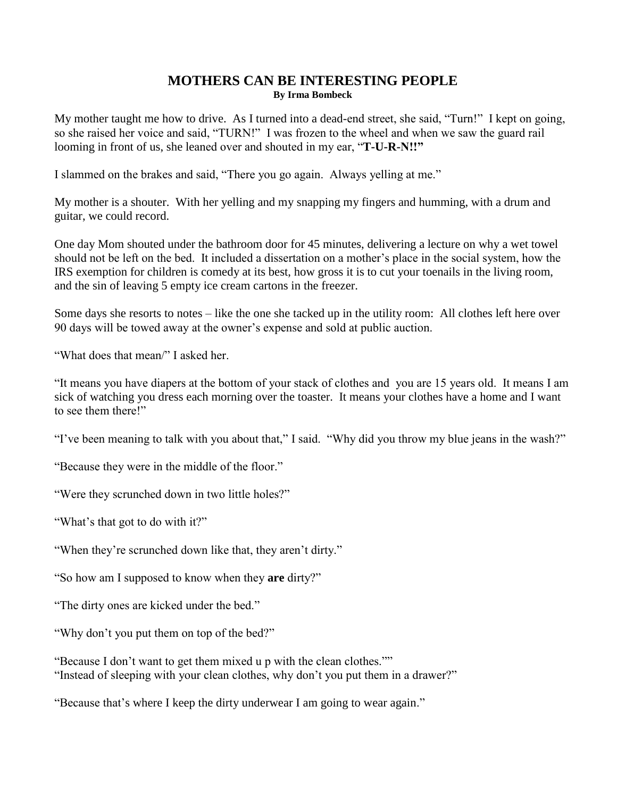## **MOTHERS CAN BE INTERESTING PEOPLE By Irma Bombeck**

My mother taught me how to drive. As I turned into a dead-end street, she said, "Turn!" I kept on going, so she raised her voice and said, "TURN!" I was frozen to the wheel and when we saw the guard rail looming in front of us, she leaned over and shouted in my ear, "**T-U-R-N!!"**

I slammed on the brakes and said, "There you go again. Always yelling at me."

My mother is a shouter. With her yelling and my snapping my fingers and humming, with a drum and guitar, we could record.

One day Mom shouted under the bathroom door for 45 minutes, delivering a lecture on why a wet towel should not be left on the bed. It included a dissertation on a mother's place in the social system, how the IRS exemption for children is comedy at its best, how gross it is to cut your toenails in the living room, and the sin of leaving 5 empty ice cream cartons in the freezer.

Some days she resorts to notes – like the one she tacked up in the utility room: All clothes left here over 90 days will be towed away at the owner's expense and sold at public auction.

"What does that mean/" I asked her.

"It means you have diapers at the bottom of your stack of clothes and you are 15 years old. It means I am sick of watching you dress each morning over the toaster. It means your clothes have a home and I want to see them there!"

"I've been meaning to talk with you about that," I said. "Why did you throw my blue jeans in the wash?"

"Because they were in the middle of the floor."

"Were they scrunched down in two little holes?"

"What's that got to do with it?"

"When they're scrunched down like that, they aren't dirty."

"So how am I supposed to know when they **are** dirty?"

"The dirty ones are kicked under the bed."

"Why don't you put them on top of the bed?"

"Because I don't want to get them mixed u p with the clean clothes."" "Instead of sleeping with your clean clothes, why don't you put them in a drawer?"

"Because that's where I keep the dirty underwear I am going to wear again."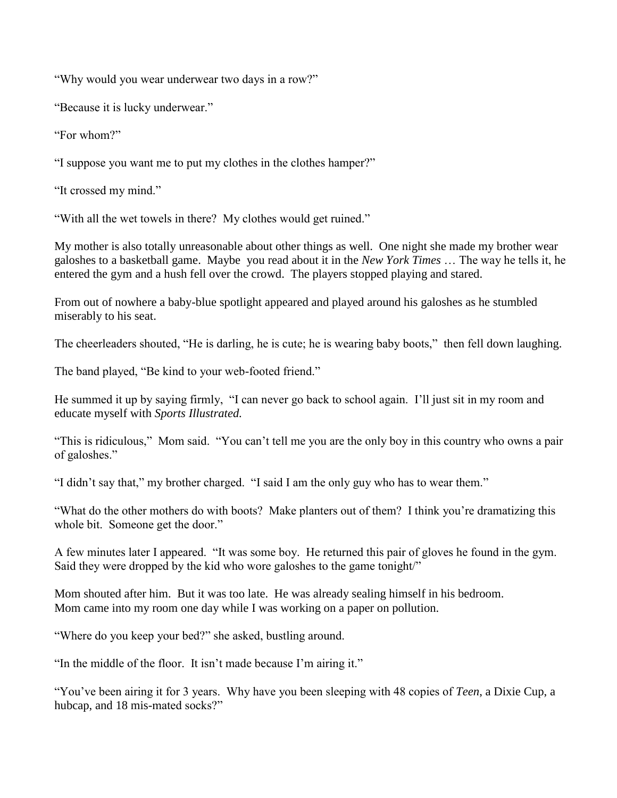"Why would you wear underwear two days in a row?"

"Because it is lucky underwear."

"For whom?"

"I suppose you want me to put my clothes in the clothes hamper?"

"It crossed my mind."

"With all the wet towels in there? My clothes would get ruined."

My mother is also totally unreasonable about other things as well. One night she made my brother wear galoshes to a basketball game. Maybe you read about it in the *New York Times* … The way he tells it, he entered the gym and a hush fell over the crowd. The players stopped playing and stared.

From out of nowhere a baby-blue spotlight appeared and played around his galoshes as he stumbled miserably to his seat.

The cheerleaders shouted, "He is darling, he is cute; he is wearing baby boots," then fell down laughing.

The band played, "Be kind to your web-footed friend."

He summed it up by saying firmly, "I can never go back to school again. I'll just sit in my room and educate myself with *Sports Illustrated.*

"This is ridiculous," Mom said. "You can't tell me you are the only boy in this country who owns a pair of galoshes."

"I didn't say that," my brother charged. "I said I am the only guy who has to wear them."

"What do the other mothers do with boots? Make planters out of them? I think you're dramatizing this whole bit. Someone get the door."

A few minutes later I appeared. "It was some boy. He returned this pair of gloves he found in the gym. Said they were dropped by the kid who wore galoshes to the game tonight/"

Mom shouted after him. But it was too late. He was already sealing himself in his bedroom. Mom came into my room one day while I was working on a paper on pollution.

"Where do you keep your bed?" she asked, bustling around.

"In the middle of the floor. It isn't made because I'm airing it."

"You've been airing it for 3 years. Why have you been sleeping with 48 copies of *Teen*, a Dixie Cup, a hubcap, and 18 mis-mated socks?"